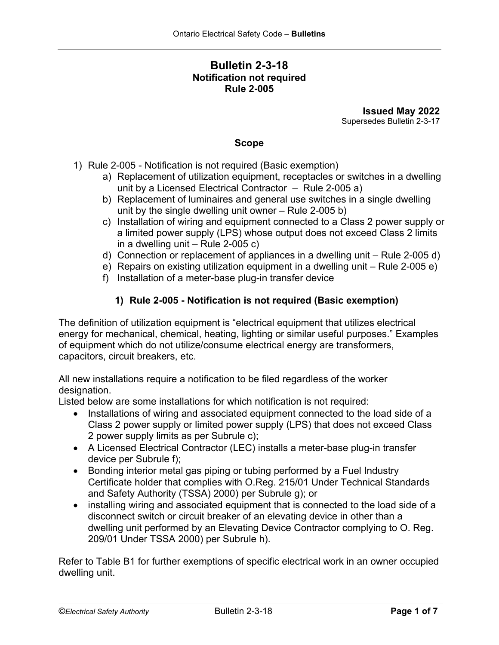# **Bulletin 2-3-18 Notification not required Rule 2-005**

**Issued May 2022** Supersedes Bulletin 2-3-17

## **Scope**

- 1) Rule 2-005 Notification is not required (Basic exemption)
	- a) Replacement of utilization equipment, receptacles or switches in a dwelling unit by a Licensed Electrical Contractor – Rule 2-005 a)
	- b) Replacement of luminaires and general use switches in a single dwelling unit by the single dwelling unit owner – Rule 2-005 b)
	- c) Installation of wiring and equipment connected to a Class 2 power supply or a limited power supply (LPS) whose output does not exceed Class 2 limits in a dwelling unit  $-$  Rule 2-005 c)
	- d) Connection or replacement of appliances in a dwelling unit Rule 2-005 d)
	- e) Repairs on existing utilization equipment in a dwelling unit Rule 2-005 e)
	- f) Installation of a meter-base plug-in transfer device

# **1) Rule 2-005 - Notification is not required (Basic exemption)**

The definition of utilization equipment is "electrical equipment that utilizes electrical energy for mechanical, chemical, heating, lighting or similar useful purposes." Examples of equipment which do not utilize/consume electrical energy are transformers, capacitors, circuit breakers, etc.

All new installations require a notification to be filed regardless of the worker designation.

Listed below are some installations for which notification is not required:

- Installations of wiring and associated equipment connected to the load side of a Class 2 power supply or limited power supply (LPS) that does not exceed Class 2 power supply limits as per Subrule c);
- A Licensed Electrical Contractor (LEC) installs a meter-base plug-in transfer device per Subrule f);
- Bonding interior metal gas piping or tubing performed by a Fuel Industry Certificate holder that complies with O.Reg. 215/01 Under Technical Standards and Safety Authority (TSSA) 2000) per Subrule g); or
- installing wiring and associated equipment that is connected to the load side of a disconnect switch or circuit breaker of an elevating device in other than a dwelling unit performed by an Elevating Device Contractor complying to O. Reg. 209/01 Under TSSA 2000) per Subrule h).

Refer to Table B1 for further exemptions of specific electrical work in an owner occupied dwelling unit.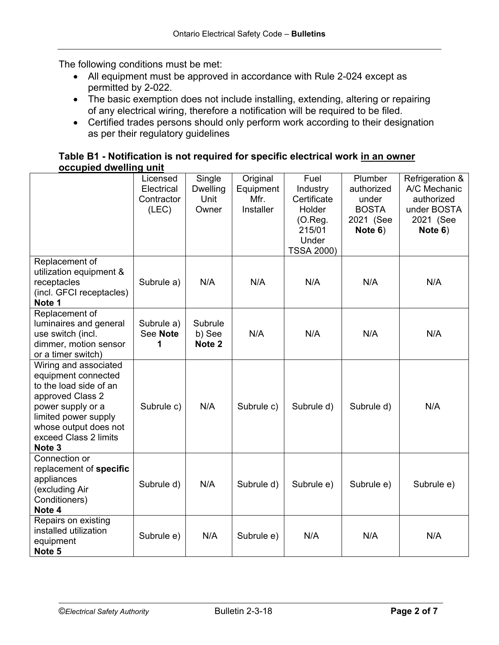The following conditions must be met:

- All equipment must be approved in accordance with Rule 2-024 except as permitted by 2-022.
- The basic exemption does not include installing, extending, altering or repairing of any electrical wiring, therefore a notification will be required to be filed.
- Certified trades persons should only perform work according to their designation as per their regulatory guidelines

## **Table B1 - Notification is not required for specific electrical work in an owner occupied dwelling unit**

|                                                                                                                                                                                                                | Licensed<br>Electrical<br>Contractor<br>(LEC) | Single<br><b>Dwelling</b><br>Unit<br>Owner | Original<br>Equipment<br>Mfr.<br><b>Installer</b> | Fuel<br>Industry<br>Certificate<br>Holder<br>$(O.$ Reg.<br>215/01<br>Under<br><b>TSSA 2000)</b> | Plumber<br>authorized<br>under<br><b>BOSTA</b><br>2021 (See<br>Note 6) | Refrigeration &<br>A/C Mechanic<br>authorized<br>under BOSTA<br>2021 (See<br>Note 6) |
|----------------------------------------------------------------------------------------------------------------------------------------------------------------------------------------------------------------|-----------------------------------------------|--------------------------------------------|---------------------------------------------------|-------------------------------------------------------------------------------------------------|------------------------------------------------------------------------|--------------------------------------------------------------------------------------|
| Replacement of<br>utilization equipment &<br>receptacles<br>(incl. GFCI receptacles)<br>Note 1                                                                                                                 | Subrule a)                                    | N/A                                        | N/A                                               | N/A                                                                                             | N/A                                                                    | N/A                                                                                  |
| Replacement of<br>luminaires and general<br>use switch (incl.<br>dimmer, motion sensor<br>or a timer switch)                                                                                                   | Subrule a)<br>See Note<br>1                   | Subrule<br>b) See<br>Note <sub>2</sub>     | N/A                                               | N/A                                                                                             | N/A                                                                    | N/A                                                                                  |
| Wiring and associated<br>equipment connected<br>to the load side of an<br>approved Class 2<br>power supply or a<br>limited power supply<br>whose output does not<br>exceed Class 2 limits<br>Note <sub>3</sub> | Subrule c)                                    | N/A                                        | Subrule c)                                        | Subrule d)                                                                                      | Subrule d)                                                             | N/A                                                                                  |
| Connection or<br>replacement of specific<br>appliances<br>(excluding Air<br>Conditioners)<br>Note 4                                                                                                            | Subrule d)                                    | N/A                                        | Subrule d)                                        | Subrule e)                                                                                      | Subrule e)                                                             | Subrule e)                                                                           |
| Repairs on existing<br>installed utilization<br>equipment<br>Note 5                                                                                                                                            | Subrule e)                                    | N/A                                        | Subrule e)                                        | N/A                                                                                             | N/A                                                                    | N/A                                                                                  |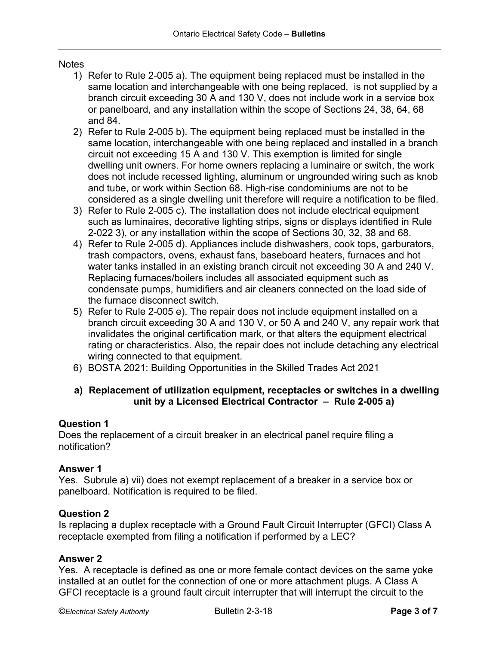# **Notes**

- 1) Refer to Rule 2-005 a). The equipment being replaced must be installed in the same location and interchangeable with one being replaced, is not supplied by a branch circuit exceeding 30 A and 130 V, does not include work in a service box or panelboard, and any installation within the scope of Sections 24, 38, 64, 68 and 84.
- 2) Refer to Rule 2-005 b). The equipment being replaced must be installed in the same location, interchangeable with one being replaced and installed in a branch circuit not exceeding 15 A and 130 V. This exemption is limited for single dwelling unit owners. For home owners replacing a luminaire or switch, the work does not include recessed lighting, aluminum or ungrounded wiring such as knob and tube, or work within Section 68. High-rise condominiums are not to be considered as a single dwelling unit therefore will require a notification to be filed.
- 3) Refer to Rule 2-005 c). The installation does not include electrical equipment such as luminaires, decorative lighting strips, signs or displays identified in Rule 2-022 3), or any installation within the scope of Sections 30, 32, 38 and 68.
- 4) Refer to Rule 2-005 d). Appliances include dishwashers, cook tops, garburators, trash compactors, ovens, exhaust fans, baseboard heaters, furnaces and hot water tanks installed in an existing branch circuit not exceeding 30 A and 240 V. Replacing furnaces/boilers includes all associated equipment such as condensate pumps, humidifiers and air cleaners connected on the load side of the furnace disconnect switch.
- 5) Refer to Rule 2-005 e). The repair does not include equipment installed on a branch circuit exceeding 30 A and 130 V, or 50 A and 240 V, any repair work that invalidates the original certification mark, or that alters the equipment electrical rating or characteristics. Also, the repair does not include detaching any electrical wiring connected to that equipment.
- 6) BOSTA 2021: Building Opportunities in the Skilled Trades Act 2021

# **a) Replacement of utilization equipment, receptacles or switches in a dwelling unit by a Licensed Electrical Contractor – Rule 2-005 a)**

# **Question 1**

Does the replacement of a circuit breaker in an electrical panel require filing a notification?

### **Answer 1**

Yes. Subrule a) vii) does not exempt replacement of a breaker in a service box or panelboard. Notification is required to be filed.

### **Question 2**

Is replacing a duplex receptacle with a Ground Fault Circuit Interrupter (GFCI) Class A receptacle exempted from filing a notification if performed by a LEC?

# **Answer 2**

Yes. A receptacle is defined as one or more female contact devices on the same yoke installed at an outlet for the connection of one or more attachment plugs. A Class A GFCI receptacle is a ground fault circuit interrupter that will interrupt the circuit to the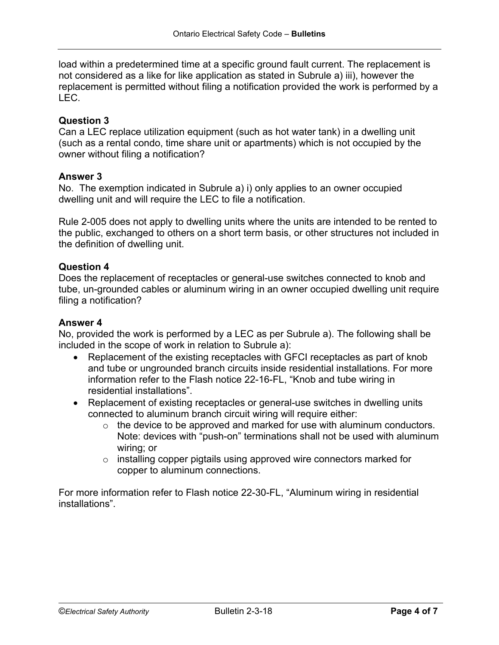load within a predetermined time at a specific ground fault current. The replacement is not considered as a like for like application as stated in Subrule a) iii), however the replacement is permitted without filing a notification provided the work is performed by a LEC.

# **Question 3**

Can a LEC replace utilization equipment (such as hot water tank) in a dwelling unit (such as a rental condo, time share unit or apartments) which is not occupied by the owner without filing a notification?

# **Answer 3**

No. The exemption indicated in Subrule a) i) only applies to an owner occupied dwelling unit and will require the LEC to file a notification.

Rule 2-005 does not apply to dwelling units where the units are intended to be rented to the public, exchanged to others on a short term basis, or other structures not included in the definition of dwelling unit.

## **Question 4**

Does the replacement of receptacles or general-use switches connected to knob and tube, un-grounded cables or aluminum wiring in an owner occupied dwelling unit require filing a notification?

### **Answer 4**

No, provided the work is performed by a LEC as per Subrule a). The following shall be included in the scope of work in relation to Subrule a):

- Replacement of the existing receptacles with GFCI receptacles as part of knob and tube or ungrounded branch circuits inside residential installations. For more information refer to the Flash notice 22-16-FL, "Knob and tube wiring in residential installations".
- Replacement of existing receptacles or general-use switches in dwelling units connected to aluminum branch circuit wiring will require either:
	- $\circ$  the device to be approved and marked for use with aluminum conductors. Note: devices with "push-on" terminations shall not be used with aluminum wiring; or
	- $\circ$  installing copper pigtails using approved wire connectors marked for copper to aluminum connections.

For more information refer to Flash notice 22-30-FL, "Aluminum wiring in residential installations".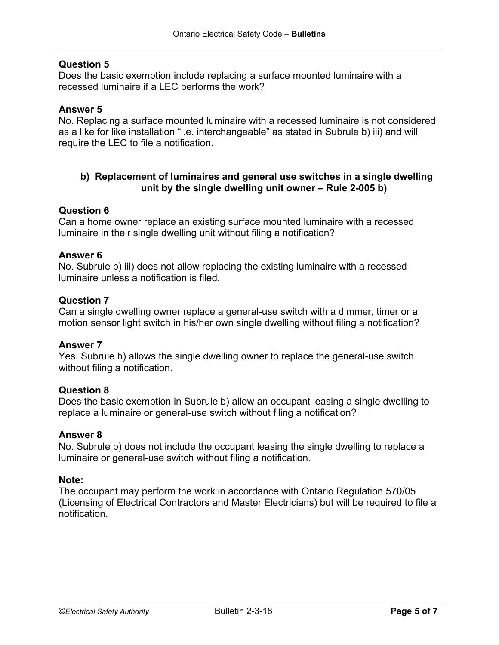# **Question 5**

Does the basic exemption include replacing a surface mounted luminaire with a recessed luminaire if a LEC performs the work?

### **Answer 5**

No. Replacing a surface mounted luminaire with a recessed luminaire is not considered as a like for like installation "i.e. interchangeable" as stated in Subrule b) iii) and will require the LEC to file a notification.

# **b) Replacement of luminaires and general use switches in a single dwelling unit by the single dwelling unit owner – Rule 2-005 b)**

### **Question 6**

Can a home owner replace an existing surface mounted luminaire with a recessed luminaire in their single dwelling unit without filing a notification?

#### **Answer 6**

No. Subrule b) iii) does not allow replacing the existing luminaire with a recessed luminaire unless a notification is filed.

#### **Question 7**

Can a single dwelling owner replace a general-use switch with a dimmer, timer or a motion sensor light switch in his/her own single dwelling without filing a notification?

### **Answer 7**

Yes. Subrule b) allows the single dwelling owner to replace the general-use switch without filing a notification.

#### **Question 8**

Does the basic exemption in Subrule b) allow an occupant leasing a single dwelling to replace a luminaire or general-use switch without filing a notification?

#### **Answer 8**

No. Subrule b) does not include the occupant leasing the single dwelling to replace a luminaire or general-use switch without filing a notification.

#### **Note:**

The occupant may perform the work in accordance with Ontario Regulation 570/05 (Licensing of Electrical Contractors and Master Electricians) but will be required to file a notification.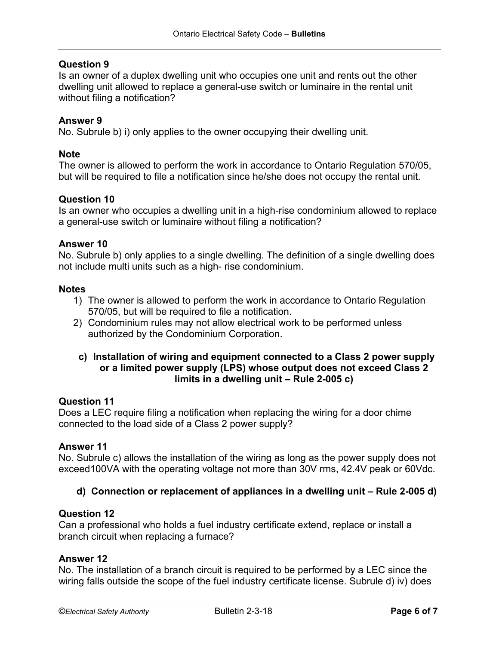# **Question 9**

Is an owner of a duplex dwelling unit who occupies one unit and rents out the other dwelling unit allowed to replace a general-use switch or luminaire in the rental unit without filing a notification?

# **Answer 9**

No. Subrule b) i) only applies to the owner occupying their dwelling unit.

# **Note**

The owner is allowed to perform the work in accordance to Ontario Regulation 570/05, but will be required to file a notification since he/she does not occupy the rental unit.

## **Question 10**

Is an owner who occupies a dwelling unit in a high-rise condominium allowed to replace a general-use switch or luminaire without filing a notification?

### **Answer 10**

No. Subrule b) only applies to a single dwelling. The definition of a single dwelling does not include multi units such as a high- rise condominium.

#### **Notes**

- 1) The owner is allowed to perform the work in accordance to Ontario Regulation 570/05, but will be required to file a notification.
- 2) Condominium rules may not allow electrical work to be performed unless authorized by the Condominium Corporation.

## **c) Installation of wiring and equipment connected to a Class 2 power supply or a limited power supply (LPS) whose output does not exceed Class 2 limits in a dwelling unit – Rule 2-005 c)**

### **Question 11**

Does a LEC require filing a notification when replacing the wiring for a door chime connected to the load side of a Class 2 power supply?

#### **Answer 11**

No. Subrule c) allows the installation of the wiring as long as the power supply does not exceed100VA with the operating voltage not more than 30V rms, 42.4V peak or 60Vdc.

### **d) Connection or replacement of appliances in a dwelling unit – Rule 2-005 d)**

### **Question 12**

Can a professional who holds a fuel industry certificate extend, replace or install a branch circuit when replacing a furnace?

### **Answer 12**

No. The installation of a branch circuit is required to be performed by a LEC since the wiring falls outside the scope of the fuel industry certificate license. Subrule d) iv) does